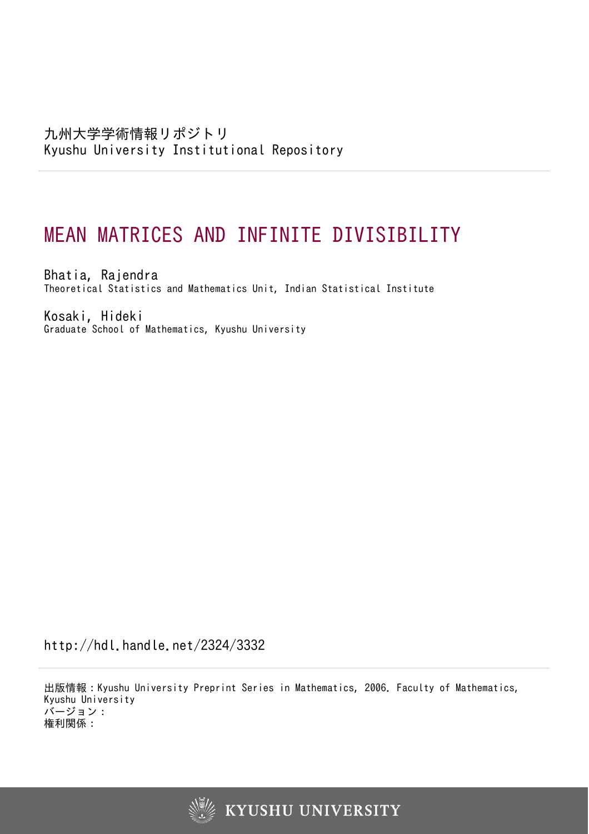# MEAN MATRICES AND INFINITE DIVISIBILITY

Bhatia, Rajendra Theoretical Statistics and Mathematics Unit, Indian Statistical Institute

Kosaki, Hideki Graduate School of Mathematics, Kyushu University

http://hdl.handle.net/2324/3332

出版情報:Kyushu University Preprint Series in Mathematics, 2006. Faculty of Mathematics, Kyushu University バージョン: 権利関係:

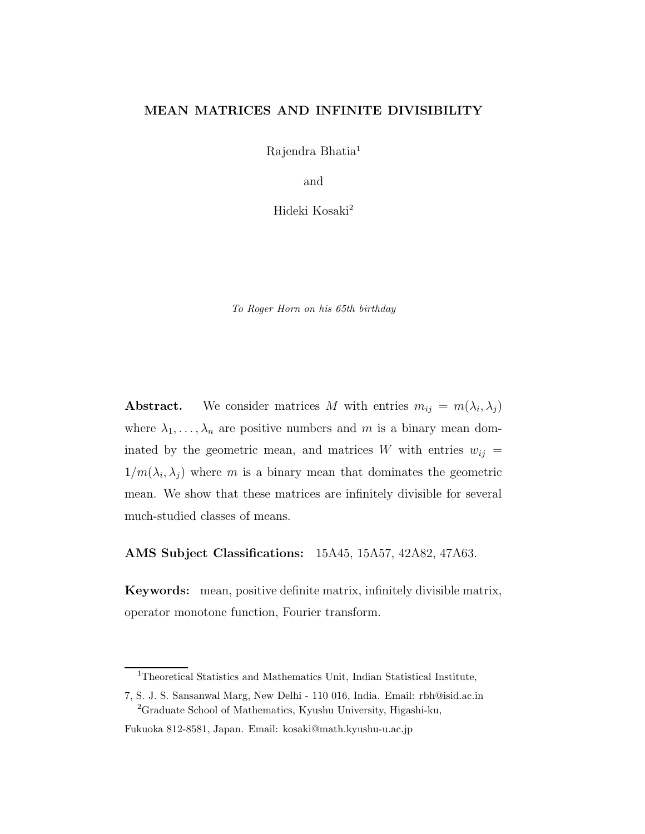## MEAN MATRICES AND INFINITE DIVISIBILITY

Rajendra Bhatia<sup>1</sup>

and

Hideki Kosaki<sup>2</sup>

To Roger Horn on his 65th birthday

**Abstract.** We consider matrices M with entries  $m_{ij} = m(\lambda_i, \lambda_j)$ where  $\lambda_1, \ldots, \lambda_n$  are positive numbers and m is a binary mean dominated by the geometric mean, and matrices W with entries  $w_{ij} =$  $1/m(\lambda_i, \lambda_j)$  where m is a binary mean that dominates the geometric mean. We show that these matrices are infinitely divisible for several much-studied classes of means.

AMS Subject Classifications: 15A45, 15A57, 42A82, 47A63.

Keywords: mean, positive definite matrix, infinitely divisible matrix, operator monotone function, Fourier transform.

<sup>&</sup>lt;sup>1</sup>Theoretical Statistics and Mathematics Unit, Indian Statistical Institute,

<sup>7,</sup> S. J. S. Sansanwal Marg, New Delhi - 110 016, India. Email: rbh@isid.ac.in <sup>2</sup>Graduate School of Mathematics, Kyushu University, Higashi-ku,

Fukuoka 812-8581, Japan. Email: kosaki@math.kyushu-u.ac.jp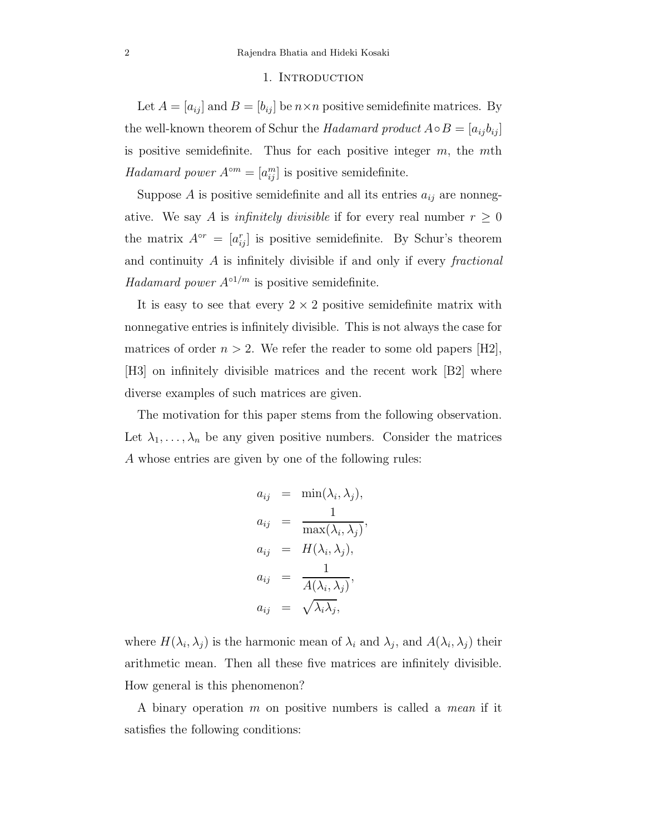#### 1. INTRODUCTION

Let  $A = [a_{ij}]$  and  $B = [b_{ij}]$  be  $n \times n$  positive semidefinite matrices. By the well-known theorem of Schur the Hadamard product  $A \circ B = [a_{ij} b_{ij}]$ is positive semidefinite. Thus for each positive integer  $m$ , the  $m$ th Hadamard power  $A^{\circ m} = [a_{ij}^m]$  is positive semidefinite.

Suppose  $A$  is positive semidefinite and all its entries  $a_{ij}$  are nonnegative. We say A is *infinitely divisible* if for every real number  $r \geq 0$ the matrix  $A^{\circ r} = [a_{ij}^r]$  is positive semidefinite. By Schur's theorem and continuity A is infinitely divisible if and only if every fractional Hadamard power  $A^{\circ 1/m}$  is positive semidefinite.

It is easy to see that every  $2 \times 2$  positive semidefinite matrix with nonnegative entries is infinitely divisible. This is not always the case for matrices of order  $n > 2$ . We refer the reader to some old papers [H2], [H3] on infinitely divisible matrices and the recent work [B2] where diverse examples of such matrices are given.

The motivation for this paper stems from the following observation. Let  $\lambda_1, \ldots, \lambda_n$  be any given positive numbers. Consider the matrices A whose entries are given by one of the following rules:

$$
a_{ij} = \min(\lambda_i, \lambda_j),
$$
  
\n
$$
a_{ij} = \frac{1}{\max(\lambda_i, \lambda_j)},
$$
  
\n
$$
a_{ij} = H(\lambda_i, \lambda_j),
$$
  
\n
$$
a_{ij} = \frac{1}{A(\lambda_i, \lambda_j)},
$$
  
\n
$$
a_{ij} = \sqrt{\lambda_i \lambda_j},
$$

where  $H(\lambda_i, \lambda_j)$  is the harmonic mean of  $\lambda_i$  and  $\lambda_j$ , and  $A(\lambda_i, \lambda_j)$  their arithmetic mean. Then all these five matrices are infinitely divisible. How general is this phenomenon?

A binary operation m on positive numbers is called a mean if it satisfies the following conditions: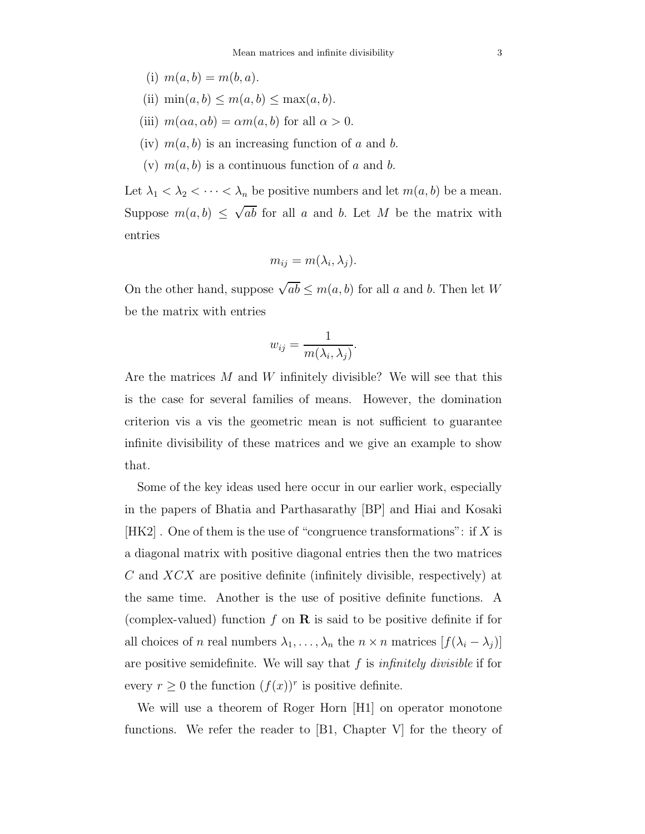- (i)  $m(a, b) = m(b, a)$ .
- (ii)  $\min(a, b) \leq m(a, b) \leq \max(a, b)$ .
- (iii)  $m(\alpha a, \alpha b) = \alpha m(a, b)$  for all  $\alpha > 0$ .
- (iv)  $m(a, b)$  is an increasing function of a and b.
- (v)  $m(a, b)$  is a continuous function of a and b.

Let  $\lambda_1 < \lambda_2 < \cdots < \lambda_n$  be positive numbers and let  $m(a, b)$  be a mean. Suppose  $m(a, b) \leq \sqrt{ab}$  for all a and b. Let M be the matrix with entries

$$
m_{ij} = m(\lambda_i, \lambda_j).
$$

On the other hand, suppose  $\sqrt{ab} \le m(a, b)$  for all a and b. Then let W be the matrix with entries

$$
w_{ij} = \frac{1}{m(\lambda_i, \lambda_j)}.
$$

Are the matrices  $M$  and  $W$  infinitely divisible? We will see that this is the case for several families of means. However, the domination criterion vis a vis the geometric mean is not sufficient to guarantee infinite divisibility of these matrices and we give an example to show that.

Some of the key ideas used here occur in our earlier work, especially in the papers of Bhatia and Parthasarathy [BP] and Hiai and Kosaki  $[HK2]$ . One of them is the use of "congruence transformations": if X is a diagonal matrix with positive diagonal entries then the two matrices  $C$  and  $\overline{XCX}$  are positive definite (infinitely divisible, respectively) at the same time. Another is the use of positive definite functions. A (complex-valued) function f on  $\bf{R}$  is said to be positive definite if for all choices of *n* real numbers  $\lambda_1, \ldots, \lambda_n$  the  $n \times n$  matrices  $[f(\lambda_i - \lambda_j)]$ are positive semidefinite. We will say that  $f$  is *infinitely divisible* if for every  $r \geq 0$  the function  $(f(x))^r$  is positive definite.

We will use a theorem of Roger Horn [H1] on operator monotone functions. We refer the reader to [B1, Chapter V] for the theory of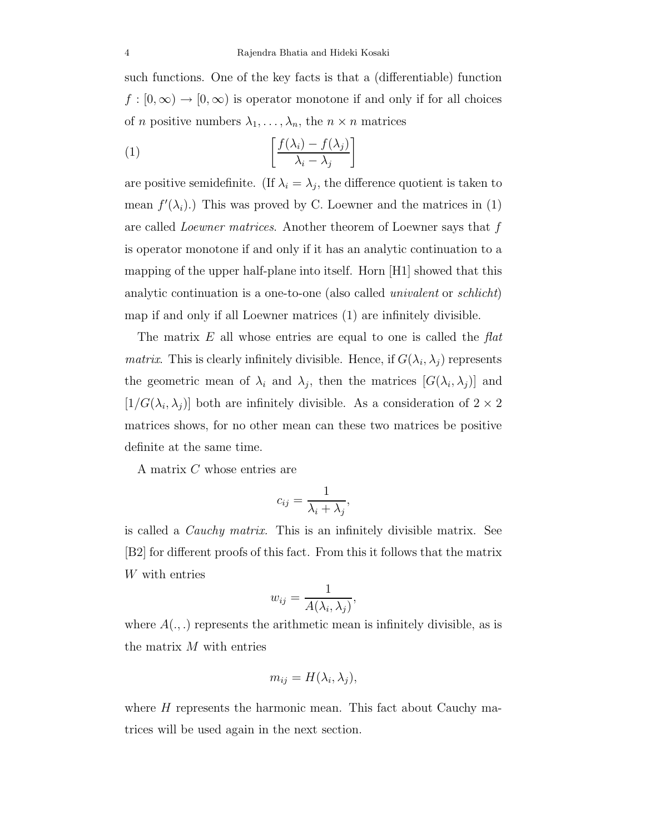such functions. One of the key facts is that a (differentiable) function  $f:[0,\infty)\to[0,\infty)$  is operator monotone if and only if for all choices of *n* positive numbers  $\lambda_1, \ldots, \lambda_n$ , the  $n \times n$  matrices

(1) 
$$
\left[\frac{f(\lambda_i) - f(\lambda_j)}{\lambda_i - \lambda_j}\right]
$$

are positive semidefinite. (If  $\lambda_i = \lambda_j$ , the difference quotient is taken to mean  $f'(\lambda_i)$ .) This was proved by C. Loewner and the matrices in (1) are called *Loewner matrices*. Another theorem of Loewner says that f is operator monotone if and only if it has an analytic continuation to a mapping of the upper half-plane into itself. Horn [H1] showed that this analytic continuation is a one-to-one (also called *univalent* or *schlicht*) map if and only if all Loewner matrices (1) are infinitely divisible.

The matrix  $E$  all whose entries are equal to one is called the  $flat$ *matrix*. This is clearly infinitely divisible. Hence, if  $G(\lambda_i, \lambda_j)$  represents the geometric mean of  $\lambda_i$  and  $\lambda_j$ , then the matrices  $[G(\lambda_i, \lambda_j)]$  and  $[1/G(\lambda_i, \lambda_j)]$  both are infinitely divisible. As a consideration of  $2 \times 2$ matrices shows, for no other mean can these two matrices be positive definite at the same time.

A matrix C whose entries are

$$
c_{ij} = \frac{1}{\lambda_i + \lambda_j},
$$

is called a *Cauchy matrix*. This is an infinitely divisible matrix. See [B2] for different proofs of this fact. From this it follows that the matrix W with entries

$$
w_{ij} = \frac{1}{A(\lambda_i, \lambda_j)},
$$

where  $A(.,.)$  represents the arithmetic mean is infinitely divisible, as is the matrix M with entries

$$
m_{ij} = H(\lambda_i, \lambda_j),
$$

where  $H$  represents the harmonic mean. This fact about Cauchy matrices will be used again in the next section.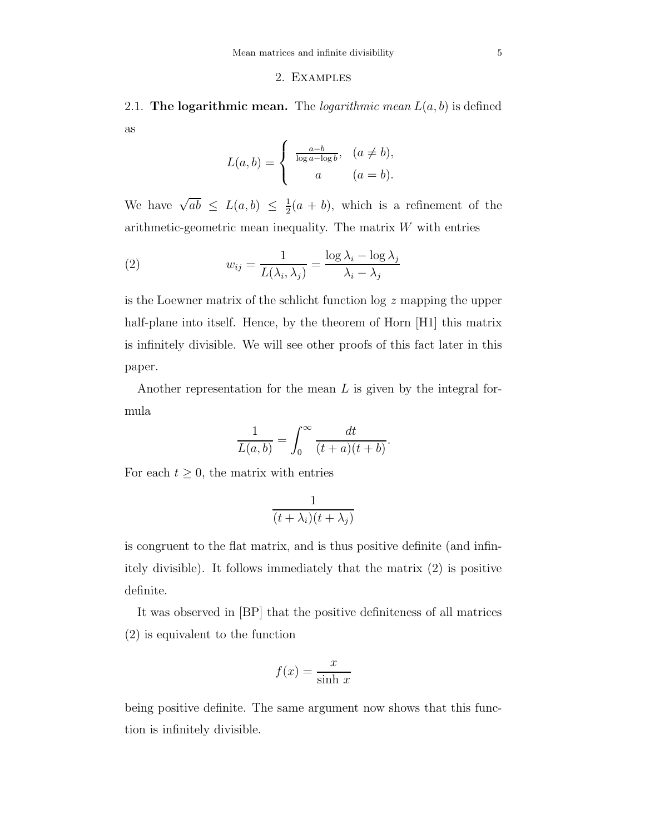### 2. Examples

2.1. The logarithmic mean. The *logarithmic mean*  $L(a, b)$  is defined as

$$
L(a,b) = \begin{cases} \frac{a-b}{\log a - \log b}, & (a \neq b), \\ a & (a = b). \end{cases}
$$

We have  $\sqrt{ab} \le L(a, b) \le \frac{1}{2}$  $\frac{1}{2}(a + b)$ , which is a refinement of the arithmetic-geometric mean inequality. The matrix  $W$  with entries

(2) 
$$
w_{ij} = \frac{1}{L(\lambda_i, \lambda_j)} = \frac{\log \lambda_i - \log \lambda_j}{\lambda_i - \lambda_j}
$$

is the Loewner matrix of the schlicht function log z mapping the upper half-plane into itself. Hence, by the theorem of Horn [H1] this matrix is infinitely divisible. We will see other proofs of this fact later in this paper.

Another representation for the mean L is given by the integral formula

$$
\frac{1}{L(a,b)} = \int_0^\infty \frac{dt}{(t+a)(t+b)}.
$$

For each  $t \geq 0$ , the matrix with entries

$$
\frac{1}{(t+\lambda_i)(t+\lambda_j)}
$$

is congruent to the flat matrix, and is thus positive definite (and infinitely divisible). It follows immediately that the matrix (2) is positive definite.

It was observed in [BP] that the positive definiteness of all matrices (2) is equivalent to the function

$$
f(x) = \frac{x}{\sinh x}
$$

being positive definite. The same argument now shows that this function is infinitely divisible.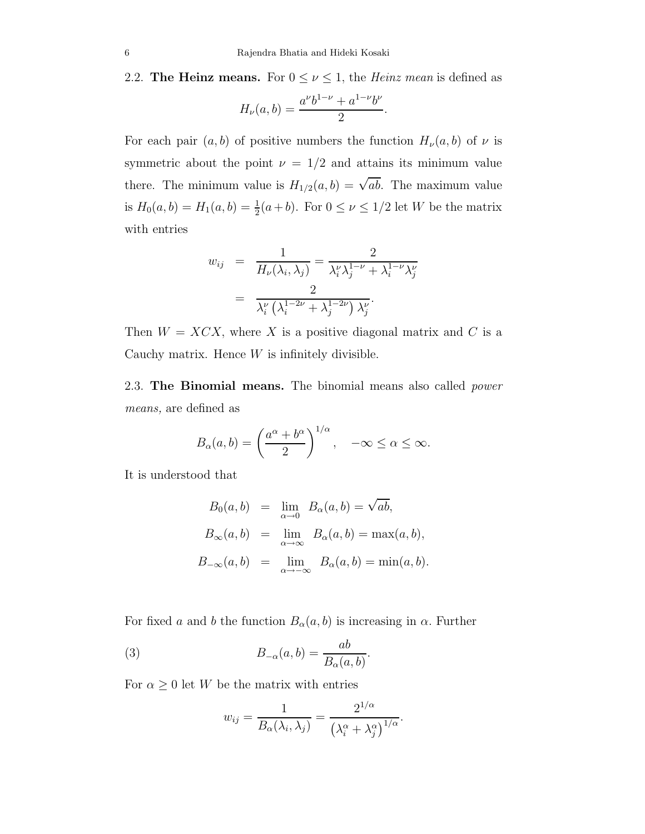2.2. The Heinz means. For  $0 \le \nu \le 1$ , the *Heinz mean* is defined as

$$
H_{\nu}(a,b) = \frac{a^{\nu}b^{1-\nu} + a^{1-\nu}b^{\nu}}{2}.
$$

For each pair  $(a, b)$  of positive numbers the function  $H_{\nu}(a, b)$  of  $\nu$  is symmetric about the point  $\nu = 1/2$  and attains its minimum value there. The minimum value is  $H_{1/2}(a, b) = \sqrt{ab}$ . The maximum value is  $H_0(a, b) = H_1(a, b) = \frac{1}{2}$  $\frac{1}{2}(a+b)$ . For  $0 \leq \nu \leq 1/2$  let W be the matrix with entries

$$
w_{ij} = \frac{1}{H_{\nu}(\lambda_i, \lambda_j)} = \frac{2}{\lambda_i^{\nu} \lambda_j^{1-\nu} + \lambda_i^{1-\nu} \lambda_j^{\nu}}
$$

$$
= \frac{2}{\lambda_i^{\nu} (\lambda_i^{1-2\nu} + \lambda_j^{1-2\nu}) \lambda_j^{\nu}}.
$$

Then  $W = XCX$ , where X is a positive diagonal matrix and C is a Cauchy matrix. Hence  $W$  is infinitely divisible.

2.3. The Binomial means. The binomial means also called *power* means, are defined as

$$
B_{\alpha}(a,b) = \left(\frac{a^{\alpha} + b^{\alpha}}{2}\right)^{1/\alpha}, \quad -\infty \le \alpha \le \infty.
$$

It is understood that

$$
B_0(a, b) = \lim_{\alpha \to 0} B_\alpha(a, b) = \sqrt{ab},
$$
  
\n
$$
B_\infty(a, b) = \lim_{\alpha \to \infty} B_\alpha(a, b) = \max(a, b),
$$
  
\n
$$
B_{-\infty}(a, b) = \lim_{\alpha \to -\infty} B_\alpha(a, b) = \min(a, b).
$$

For fixed a and b the function  $B_{\alpha}(a, b)$  is increasing in  $\alpha$ . Further

(3) 
$$
B_{-\alpha}(a,b) = \frac{ab}{B_{\alpha}(a,b)}.
$$

For  $\alpha \geq 0$  let W be the matrix with entries

$$
w_{ij} = \frac{1}{B_{\alpha}(\lambda_i, \lambda_j)} = \frac{2^{1/\alpha}}{(\lambda_i^{\alpha} + \lambda_j^{\alpha})^{1/\alpha}}.
$$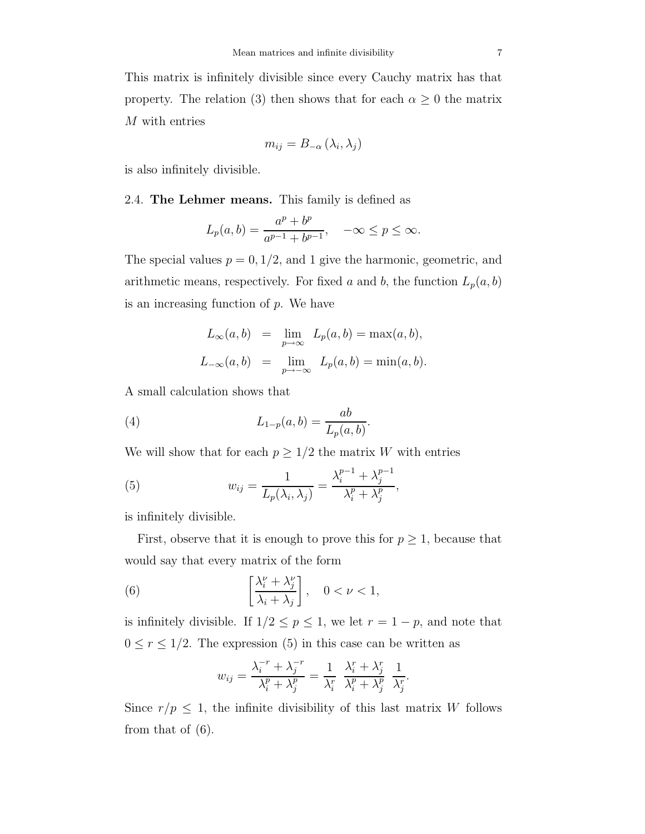M with entries

$$
m_{ij} = B_{-\alpha} (\lambda_i, \lambda_j)
$$

is also infinitely divisible.

2.4. The Lehmer means. This family is defined as

$$
L_p(a,b) = \frac{a^p + b^p}{a^{p-1} + b^{p-1}}, \quad -\infty \le p \le \infty.
$$

The special values  $p = 0, 1/2$ , and 1 give the harmonic, geometric, and arithmetic means, respectively. For fixed a and b, the function  $L_p(a, b)$ is an increasing function of p. We have

$$
L_{\infty}(a, b) = \lim_{p \to \infty} L_p(a, b) = \max(a, b),
$$
  

$$
L_{-\infty}(a, b) = \lim_{p \to -\infty} L_p(a, b) = \min(a, b).
$$

.

A small calculation shows that

(4) 
$$
L_{1-p}(a,b) = \frac{ab}{L_p(a,b)}
$$

We will show that for each  $p \geq 1/2$  the matrix W with entries

(5) 
$$
w_{ij} = \frac{1}{L_p(\lambda_i, \lambda_j)} = \frac{\lambda_i^{p-1} + \lambda_j^{p-1}}{\lambda_i^p + \lambda_j^p},
$$

is infinitely divisible.

First, observe that it is enough to prove this for  $p \geq 1$ , because that would say that every matrix of the form

(6) 
$$
\left[\frac{\lambda_i^{\nu} + \lambda_j^{\nu}}{\lambda_i + \lambda_j}\right], \quad 0 < \nu < 1,
$$

is infinitely divisible. If  $1/2 \le p \le 1$ , we let  $r = 1 - p$ , and note that  $0 \le r \le 1/2$ . The expression (5) in this case can be written as

$$
w_{ij} = \frac{\lambda_i^{-r} + \lambda_j^{-r}}{\lambda_i^p + \lambda_j^p} = \frac{1}{\lambda_i^r} \frac{\lambda_i^r + \lambda_j^r}{\lambda_i^p + \lambda_j^p} \frac{1}{\lambda_j^r}.
$$

Since  $r/p \leq 1$ , the infinite divisibility of this last matrix W follows from that of (6).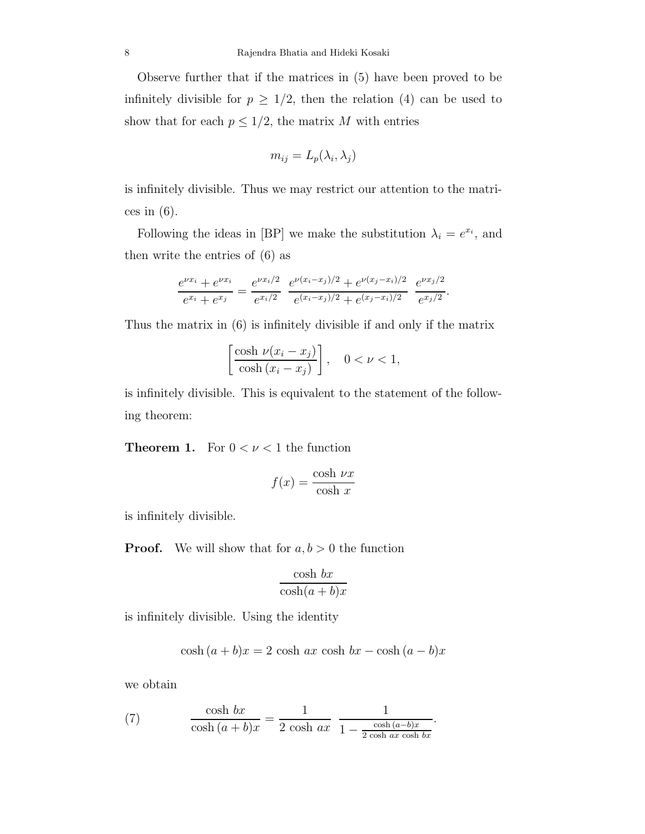Observe further that if the matrices in (5) have been proved to be infinitely divisible for  $p \geq 1/2$ , then the relation (4) can be used to show that for each  $p\leq 1/2,$  the matrix  $M$  with entries

$$
m_{ij}=L_p(\lambda_i,\lambda_j)
$$

is infinitely divisible. Thus we may restrict our attention to the matrices in  $(6)$ .

Following the ideas in [BP] we make the substitution  $\lambda_i = e^{x_i}$ , and then write the entries of (6) as

$$
\frac{e^{\nu x_i} + e^{\nu x_i}}{e^{x_i} + e^{x_j}} = \frac{e^{\nu x_i/2}}{e^{x_i/2}} \frac{e^{\nu (x_i - x_j)/2} + e^{\nu (x_j - x_i)/2}}{e^{(x_i - x_j)/2} + e^{(x_j - x_i)/2}} \frac{e^{\nu x_j/2}}{e^{x_j/2}}.
$$

Thus the matrix in (6) is infinitely divisible if and only if the matrix

$$
\left[\frac{\cosh \nu (x_i - x_j)}{\cosh (x_i - x_j)}\right], \quad 0 < \nu < 1,
$$

is infinitely divisible. This is equivalent to the statement of the following theorem:

**Theorem 1.** For  $0 < \nu < 1$  the function

$$
f(x) = \frac{\cosh \nu x}{\cosh x}
$$

is infinitely divisible.

**Proof.** We will show that for  $a, b > 0$  the function

$$
\frac{\cosh bx}{\cosh(a+b)x}
$$

is infinitely divisible. Using the identity

$$
\cosh(a+b)x = 2\cosh ax \cosh bx - \cosh(a-b)x
$$

we obtain

(7) 
$$
\frac{\cosh bx}{\cosh (a+b)x} = \frac{1}{2 \cosh ax} \frac{1}{1 - \frac{\cosh (a-b)x}{2 \cosh ax \cosh bx}}.
$$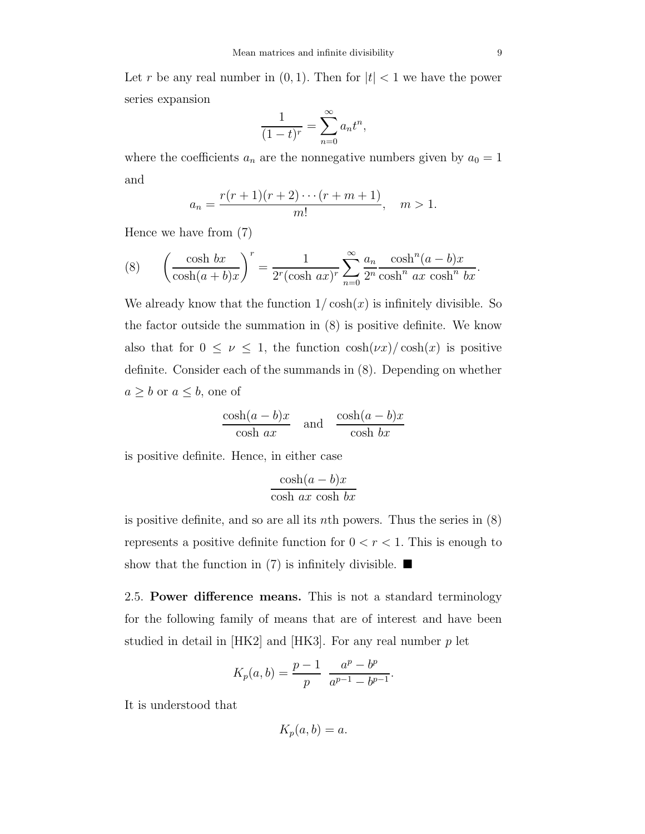Let r be any real number in  $(0, 1)$ . Then for  $|t| < 1$  we have the power series expansion

$$
\frac{1}{(1-t)^r} = \sum_{n=0}^{\infty} a_n t^n,
$$

where the coefficients  $a_n$  are the nonnegative numbers given by  $a_0 = 1$ and

$$
a_n = \frac{r(r+1)(r+2)\cdots(r+m+1)}{m!}, \quad m > 1.
$$

Hence we have from (7)

(8) 
$$
\left(\frac{\cosh bx}{\cosh(a+b)x}\right)^r = \frac{1}{2^r(\cosh ax)^r} \sum_{n=0}^{\infty} \frac{a_n}{2^n} \frac{\cosh^n(a-b)x}{\cosh^n ax \cosh^n bx}.
$$

We already know that the function  $1/\cosh(x)$  is infinitely divisible. So the factor outside the summation in (8) is positive definite. We know also that for  $0 \leq \nu \leq 1$ , the function  $\cosh(\nu x)/\cosh(x)$  is positive definite. Consider each of the summands in (8). Depending on whether  $a \geq b$  or  $a \leq b$ , one of

$$
\frac{\cosh(a-b)x}{\cosh ax} \quad \text{and} \quad \frac{\cosh(a-b)x}{\cosh bx}
$$

is positive definite. Hence, in either case

$$
\frac{\cosh(a-b)x}{\cosh ax \cosh bx}
$$

is positive definite, and so are all its nth powers. Thus the series in  $(8)$ represents a positive definite function for  $0 < r < 1$ . This is enough to show that the function in (7) is infinitely divisible.  $\blacksquare$ 

2.5. Power difference means. This is not a standard terminology for the following family of means that are of interest and have been studied in detail in  $|HK2|$  and  $|HK3|$ . For any real number p let

$$
K_p(a,b) = \frac{p-1}{p} \frac{a^p - b^p}{a^{p-1} - b^{p-1}}.
$$

It is understood that

$$
K_p(a,b) = a.
$$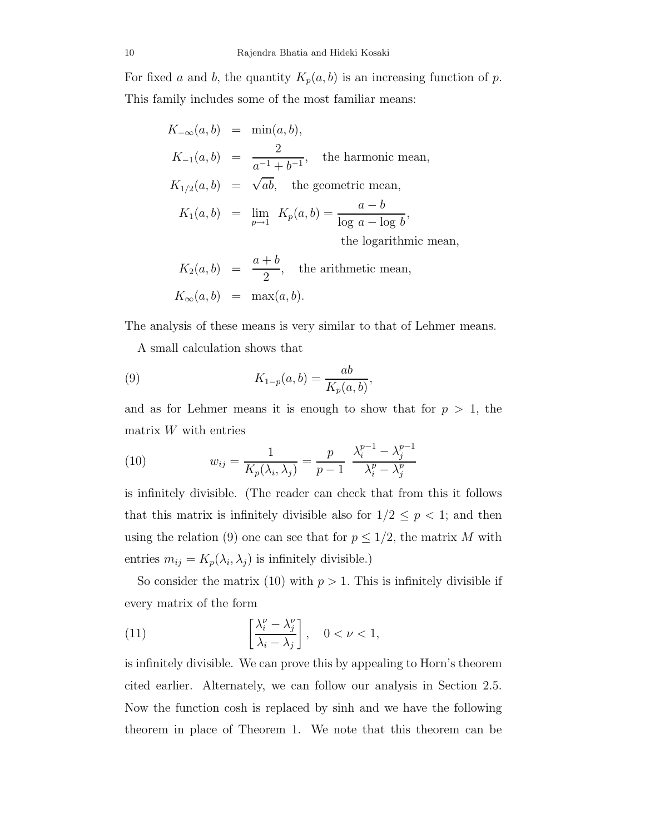For fixed a and b, the quantity  $K_p(a, b)$  is an increasing function of p. This family includes some of the most familiar means:

| $K_{-\infty}(a,b) = \min(a,b),$ |                                                                         |
|---------------------------------|-------------------------------------------------------------------------|
|                                 | $K_{-1}(a, b) = \frac{2}{a^{-1} + b^{-1}}, \text{ the harmonic mean,}$  |
|                                 | $K_{1/2}(a, b) = \sqrt{ab}$ , the geometric mean,                       |
|                                 | $K_1(a, b) = \lim_{p \to 1} K_p(a, b) = \frac{a - b}{\log a - \log b},$ |
|                                 | the logarithmic mean,                                                   |
|                                 | $K_2(a, b) = \frac{a+b}{2}$ , the arithmetic mean,                      |
|                                 | $K_{\infty}(a, b) = \max(a, b).$                                        |

The analysis of these means is very similar to that of Lehmer means.

A small calculation shows that

(9) 
$$
K_{1-p}(a,b) = \frac{ab}{K_p(a,b)},
$$

and as for Lehmer means it is enough to show that for  $p > 1$ , the matrix  $W$  with entries

(10) 
$$
w_{ij} = \frac{1}{K_p(\lambda_i, \lambda_j)} = \frac{p}{p-1} \frac{\lambda_i^{p-1} - \lambda_j^{p-1}}{\lambda_i^p - \lambda_j^p}
$$

is infinitely divisible. (The reader can check that from this it follows that this matrix is infinitely divisible also for  $1/2 \leq p < 1$ ; and then using the relation (9) one can see that for  $p \leq 1/2$ , the matrix M with entries  $m_{ij} = K_p(\lambda_i, \lambda_j)$  is infinitely divisible.)

So consider the matrix (10) with  $p > 1$ . This is infinitely divisible if every matrix of the form

(11) 
$$
\left[\frac{\lambda_i^{\nu} - \lambda_j^{\nu}}{\lambda_i - \lambda_j}\right], \quad 0 < \nu < 1,
$$

is infinitely divisible. We can prove this by appealing to Horn's theorem cited earlier. Alternately, we can follow our analysis in Section 2.5. Now the function cosh is replaced by sinh and we have the following theorem in place of Theorem 1. We note that this theorem can be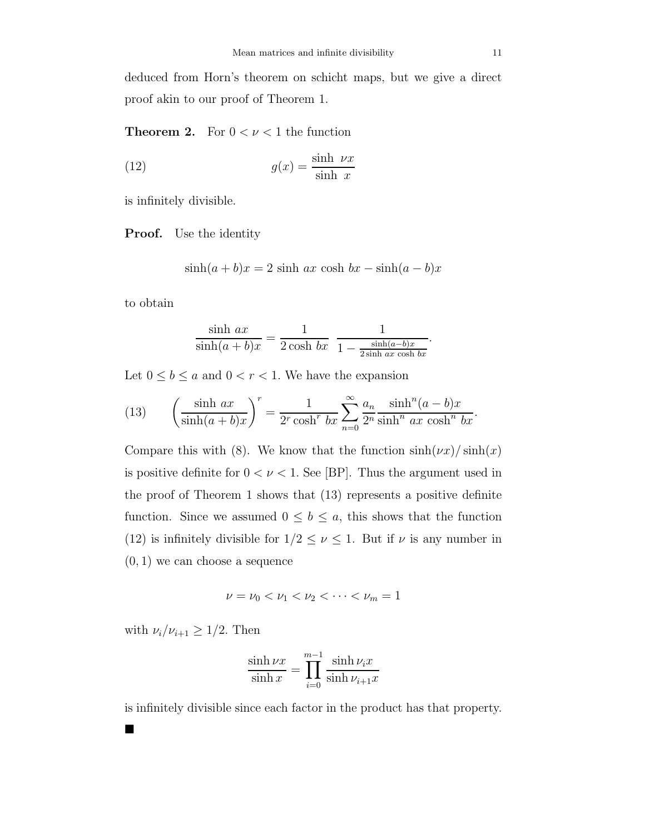deduced from Horn's theorem on schicht maps, but we give a direct proof akin to our proof of Theorem 1.

**Theorem 2.** For  $0 < \nu < 1$  the function

(12) 
$$
g(x) = \frac{\sinh \, \nu x}{\sinh \, x}
$$

is infinitely divisible.

Proof. Use the identity

$$
\sinh(a+b)x = 2\sinh ax \cosh bx - \sinh(a-b)x
$$

to obtain

$$
\frac{\sinh ax}{\sinh(a+b)x} = \frac{1}{2\cosh bx} \frac{1}{1 - \frac{\sinh(a-b)x}{2\sinh ax \cosh bx}}.
$$

Let  $0\leq b\leq a$  and  $0< r < 1.$  We have the expansion

(13) 
$$
\left(\frac{\sinh ax}{\sinh(a+b)x}\right)^r = \frac{1}{2^r \cosh^r bx} \sum_{n=0}^{\infty} \frac{a_n}{2^n} \frac{\sinh^n (a-b)x}{\sinh^n ax \cosh^n bx}.
$$

Compare this with (8). We know that the function  $\sinh(\nu x)/\sinh(x)$ is positive definite for  $0 < \nu < 1$ . See [BP]. Thus the argument used in the proof of Theorem 1 shows that (13) represents a positive definite function. Since we assumed  $0 \leq b \leq a$ , this shows that the function (12) is infinitely divisible for  $1/2 \leq \nu \leq 1$ . But if  $\nu$  is any number in  $(0, 1)$  we can choose a sequence

$$
\nu=\nu_0<\nu_1<\nu_2<\cdots<\nu_m=1
$$

with  $\nu_i/\nu_{i+1} \geq 1/2$ . Then

■

$$
\frac{\sinh\nu x}{\sinh x} = \prod_{i=0}^{m-1} \frac{\sinh\nu_i x}{\sinh\nu_{i+1} x}
$$

is infinitely divisible since each factor in the product has that property.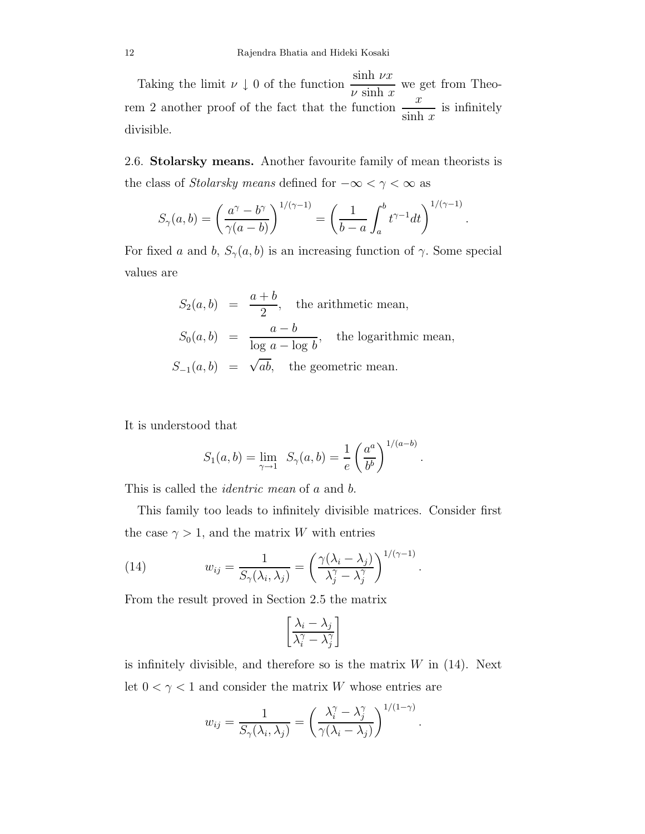Taking the limit  $\nu \downarrow 0$  of the function  $\frac{\sinh \nu x}{\nu \sinh x}$ we get from Theorem 2 another proof of the fact that the function  $\frac{x}{x+1}$  $\sinh x$ is infinitely divisible.

2.6. Stolarsky means. Another favourite family of mean theorists is the class of *Stolarsky means* defined for  $-\infty < \gamma < \infty$  as

$$
S_{\gamma}(a,b) = \left(\frac{a^{\gamma} - b^{\gamma}}{\gamma(a-b)}\right)^{1/(\gamma-1)} = \left(\frac{1}{b-a} \int_{a}^{b} t^{\gamma-1} dt\right)^{1/(\gamma-1)}.
$$

For fixed a and b,  $S_{\gamma}(a, b)$  is an increasing function of  $\gamma$ . Some special values are

$$
S_2(a, b) = \frac{a+b}{2},
$$
 the arithmetic mean,  

$$
S_0(a, b) = \frac{a-b}{\log a - \log b},
$$
 the logarithmic mean,  

$$
S_{-1}(a, b) = \sqrt{ab},
$$
 the geometric mean.

It is understood that

$$
S_1(a, b) = \lim_{\gamma \to 1} S_{\gamma}(a, b) = \frac{1}{e} \left(\frac{a^a}{b^b}\right)^{1/(a-b)}
$$

.

.

This is called the *identric mean* of a and b.

This family too leads to infinitely divisible matrices. Consider first the case  $\gamma > 1$ , and the matrix W with entries

(14) 
$$
w_{ij} = \frac{1}{S_{\gamma}(\lambda_i, \lambda_j)} = \left(\frac{\gamma(\lambda_i - \lambda_j)}{\lambda_j^{\gamma} - \lambda_j^{\gamma}}\right)^{1/(\gamma - 1)}
$$

From the result proved in Section 2.5 the matrix

$$
\left[\frac{\lambda_i - \lambda_j}{\lambda_i^\gamma - \lambda_j^\gamma}\right]
$$

is infinitely divisible, and therefore so is the matrix  $W$  in (14). Next let  $0 < \gamma < 1$  and consider the matrix W whose entries are

$$
w_{ij} = \frac{1}{S_{\gamma}(\lambda_i, \lambda_j)} = \left(\frac{\lambda_i^{\gamma} - \lambda_j^{\gamma}}{\gamma(\lambda_i - \lambda_j)}\right)^{1/(1-\gamma)}.
$$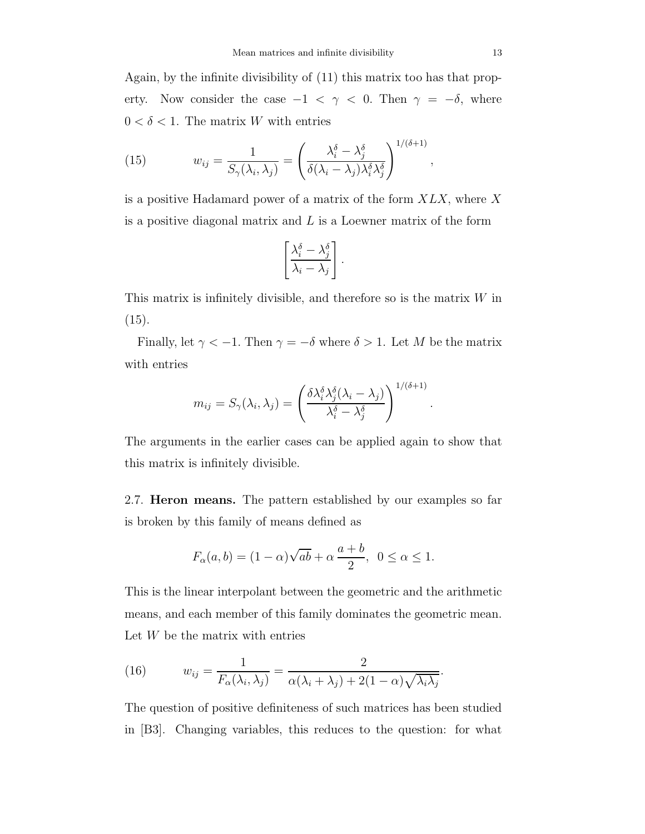Again, by the infinite divisibility of (11) this matrix too has that property. Now consider the case  $-1 < \gamma < 0$ . Then  $\gamma = -\delta$ , where  $0<\delta<1.$  The matrix  $W$  with entries

(15) 
$$
w_{ij} = \frac{1}{S_{\gamma}(\lambda_i, \lambda_j)} = \left(\frac{\lambda_i^{\delta} - \lambda_j^{\delta}}{\delta(\lambda_i - \lambda_j)\lambda_i^{\delta}\lambda_j^{\delta}}\right)^{1/(\delta+1)},
$$

is a positive Hadamard power of a matrix of the form  $X L X$ , where X is a positive diagonal matrix and  $L$  is a Loewner matrix of the form

$$
\left[\frac{\lambda_i^{\delta} - \lambda_j^{\delta}}{\lambda_i - \lambda_j}\right].
$$

This matrix is infinitely divisible, and therefore so is the matrix  $W$  in  $(15).$ 

Finally, let  $\gamma < -1$ . Then  $\gamma = -\delta$  where  $\delta > 1$ . Let M be the matrix with entries

$$
m_{ij} = S_{\gamma}(\lambda_i, \lambda_j) = \left(\frac{\delta \lambda_i^{\delta} \lambda_j^{\delta} (\lambda_i - \lambda_j)}{\lambda_i^{\delta} - \lambda_j^{\delta}}\right)^{1/(\delta + 1)}
$$

.

The arguments in the earlier cases can be applied again to show that this matrix is infinitely divisible.

2.7. **Heron means.** The pattern established by our examples so far is broken by this family of means defined as

$$
F_{\alpha}(a,b) = (1 - \alpha)\sqrt{ab} + \alpha \frac{a+b}{2}, \ \ 0 \le \alpha \le 1.
$$

This is the linear interpolant between the geometric and the arithmetic means, and each member of this family dominates the geometric mean. Let W be the matrix with entries

(16) 
$$
w_{ij} = \frac{1}{F_{\alpha}(\lambda_i, \lambda_j)} = \frac{2}{\alpha(\lambda_i + \lambda_j) + 2(1 - \alpha)\sqrt{\lambda_i\lambda_j}}.
$$

The question of positive definiteness of such matrices has been studied in [B3]. Changing variables, this reduces to the question: for what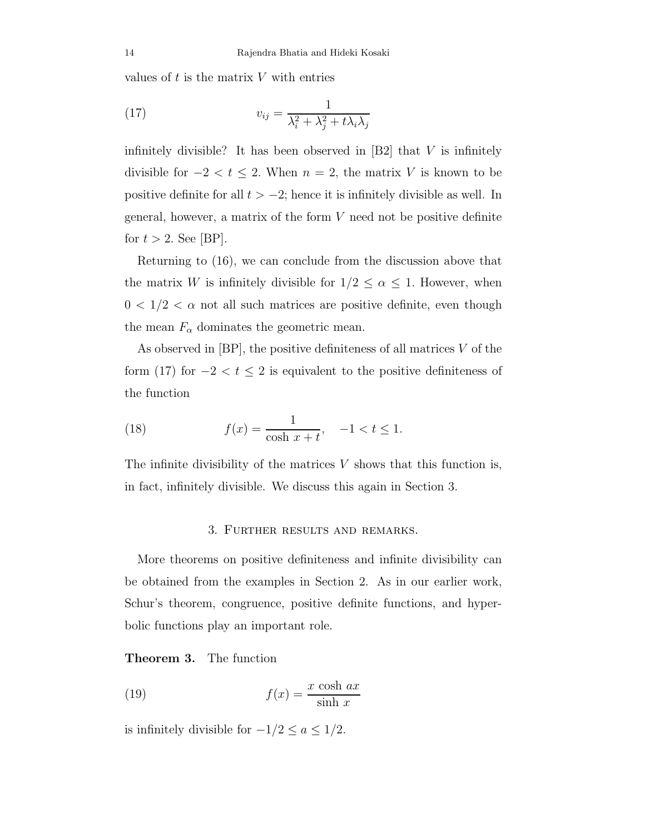values of  $t$  is the matrix  $V$  with entries

(17) 
$$
v_{ij} = \frac{1}{\lambda_i^2 + \lambda_j^2 + t\lambda_i\lambda_j}
$$

infinitely divisible? It has been observed in  $[B2]$  that V is infinitely divisible for  $-2 < t \le 2$ . When  $n = 2$ , the matrix V is known to be positive definite for all  $t > -2$ ; hence it is infinitely divisible as well. In general, however, a matrix of the form  $V$  need not be positive definite for  $t > 2$ . See [BP].

Returning to (16), we can conclude from the discussion above that the matrix W is infinitely divisible for  $1/2 \leq \alpha \leq 1$ . However, when  $0 < 1/2 < \alpha$  not all such matrices are positive definite, even though the mean  $F_{\alpha}$  dominates the geometric mean.

As observed in  $[BP]$ , the positive definiteness of all matrices  $V$  of the form (17) for  $-2 < t \le 2$  is equivalent to the positive definiteness of the function

(18) 
$$
f(x) = \frac{1}{\cosh x + t}, \quad -1 < t \le 1.
$$

The infinite divisibility of the matrices  $V$  shows that this function is, in fact, infinitely divisible. We discuss this again in Section 3.

#### 3. Further results and remarks.

More theorems on positive definiteness and infinite divisibility can be obtained from the examples in Section 2. As in our earlier work, Schur's theorem, congruence, positive definite functions, and hyperbolic functions play an important role.

Theorem 3. The function

(19) 
$$
f(x) = \frac{x \cosh ax}{\sinh x}
$$

is infinitely divisible for  $-1/2 \le a \le 1/2$ .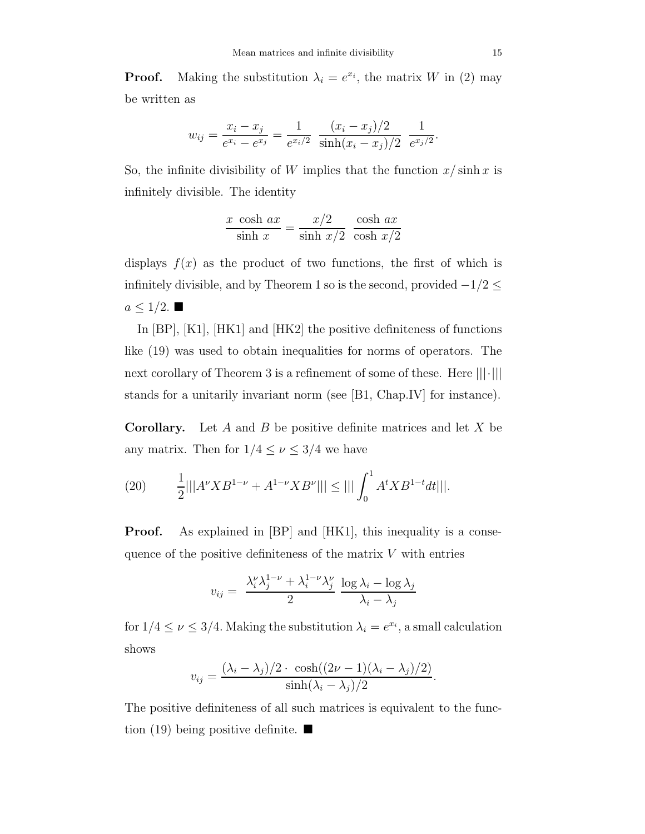**Proof.** Making the substitution  $\lambda_i = e^{x_i}$ , the matrix W in (2) may be written as

$$
w_{ij} = \frac{x_i - x_j}{e^{x_i} - e^{x_j}} = \frac{1}{e^{x_i/2}} \frac{(x_i - x_j)/2}{\sinh(x_i - x_j)/2} \frac{1}{e^{x_j/2}}
$$

So, the infinite divisibility of W implies that the function  $x/\sinh x$  is infinitely divisible. The identity

$$
\frac{x \cosh ax}{\sinh x} = \frac{x/2}{\sinh x/2} \cdot \frac{\cosh ax}{\cosh x/2}
$$

displays  $f(x)$  as the product of two functions, the first of which is infinitely divisible, and by Theorem 1 so is the second, provided  $-1/2 \leq$  $a \leq 1/2$ .

In [BP], [K1], [HK1] and [HK2] the positive definiteness of functions like (19) was used to obtain inequalities for norms of operators. The next corollary of Theorem 3 is a refinement of some of these. Here  $|||\cdot|||$ stands for a unitarily invariant norm (see [B1, Chap.IV] for instance).

**Corollary.** Let A and B be positive definite matrices and let X be any matrix. Then for  $1/4 \leq \nu \leq 3/4$  we have

(20) 
$$
\frac{1}{2}|||A^{\nu}XB^{1-\nu} + A^{1-\nu}XB^{\nu}||| \le ||| \int_0^1 A^tXB^{1-t}dt|||.
$$

**Proof.** As explained in [BP] and [HK1], this inequality is a consequence of the positive definiteness of the matrix  $V$  with entries

$$
v_{ij} = \frac{\lambda_i^{\nu} \lambda_j^{1-\nu} + \lambda_i^{1-\nu} \lambda_j^{\nu}}{2} \frac{\log \lambda_i - \log \lambda_j}{\lambda_i - \lambda_j}
$$

for  $1/4 \leq \nu \leq 3/4$ . Making the substitution  $\lambda_i = e^{x_i}$ , a small calculation shows

$$
v_{ij} = \frac{(\lambda_i - \lambda_j)/2 \cdot \cosh((2\nu - 1)(\lambda_i - \lambda_j)/2)}{\sinh(\lambda_i - \lambda_j)/2}.
$$

The positive definiteness of all such matrices is equivalent to the function (19) being positive definite.  $\blacksquare$ 

.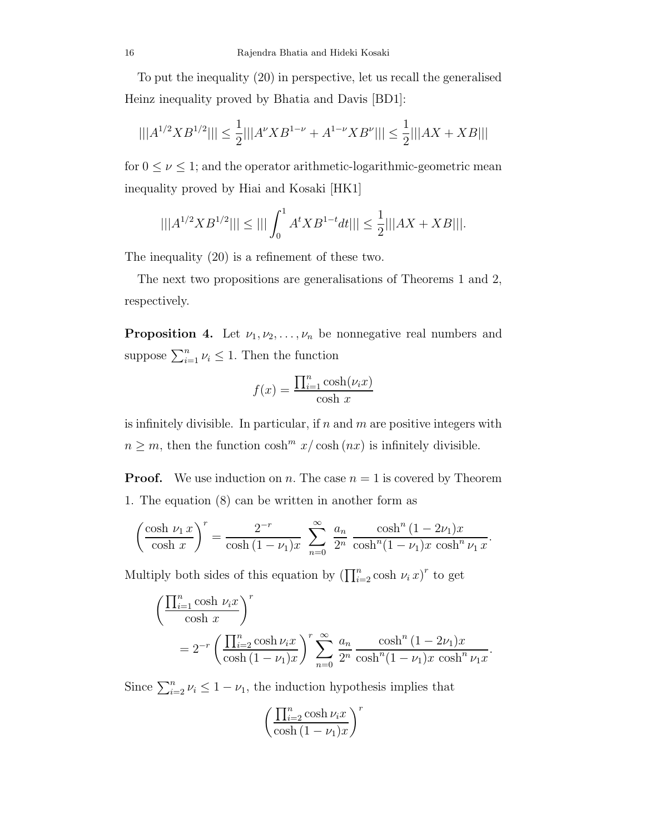To put the inequality (20) in perspective, let us recall the generalised Heinz inequality proved by Bhatia and Davis [BD1]:

$$
|||A^{1/2}XB^{1/2}||| \le \frac{1}{2}|||A^{\nu}XB^{1-\nu} + A^{1-\nu}XB^{\nu}||| \le \frac{1}{2}|||AX+XB|||
$$

for  $0 \leq \nu \leq 1$ ; and the operator arithmetic-logarithmic-geometric mean inequality proved by Hiai and Kosaki [HK1]

$$
|||A^{1/2}XB^{1/2}||| \le ||| \int_0^1 A^tXB^{1-t}dt||| \le \frac{1}{2} |||AX+XB|||.
$$

The inequality (20) is a refinement of these two.

The next two propositions are generalisations of Theorems 1 and 2, respectively.

**Proposition 4.** Let  $\nu_1, \nu_2, \ldots, \nu_n$  be nonnegative real numbers and suppose  $\sum_{i=1}^{n} \nu_i \leq 1$ . Then the function

$$
f(x) = \frac{\prod_{i=1}^{n} \cosh(\nu_i x)}{\cosh x}
$$

is infinitely divisible. In particular, if  $n$  and  $m$  are positive integers with  $n \geq m$ , then the function  $\cosh^{m} x / \cosh(n x)$  is infinitely divisible.

**Proof.** We use induction on n. The case  $n = 1$  is covered by Theorem 1. The equation (8) can be written in another form as

$$
\left(\frac{\cosh \nu_1 x}{\cosh x}\right)^r = \frac{2^{-r}}{\cosh (1-\nu_1)x} \sum_{n=0}^{\infty} \frac{a_n}{2^n} \frac{\cosh^n (1-2\nu_1)x}{\cosh^n (1-\nu_1)x \cosh^n \nu_1 x}.
$$

Multiply both sides of this equation by  $\left(\prod_{i=2}^n \cosh \nu_i x\right)^r$  to get

$$
\left(\frac{\prod_{i=1}^{n}\cosh\,\nu_{i}x}{\cosh x}\right)^{r}
$$
\n
$$
=2^{-r}\left(\frac{\prod_{i=2}^{n}\cosh\nu_{i}x}{\cosh\left(1-\nu_{1}\right)x}\right)^{r}\sum_{n=0}^{\infty}\frac{a_{n}}{2^{n}}\frac{\cosh^{n}\left(1-2\nu_{1}\right)x}{\cosh^{n}\left(1-\nu_{1}\right)x\cosh^{n}\nu_{1}x}.
$$

Since  $\sum_{i=2}^{n} \nu_i \leq 1 - \nu_1$ , the induction hypothesis implies that

$$
\left(\frac{\prod_{i=2}^{n} \cosh \nu_i x}{\cosh (1-\nu_1)x}\right)^r
$$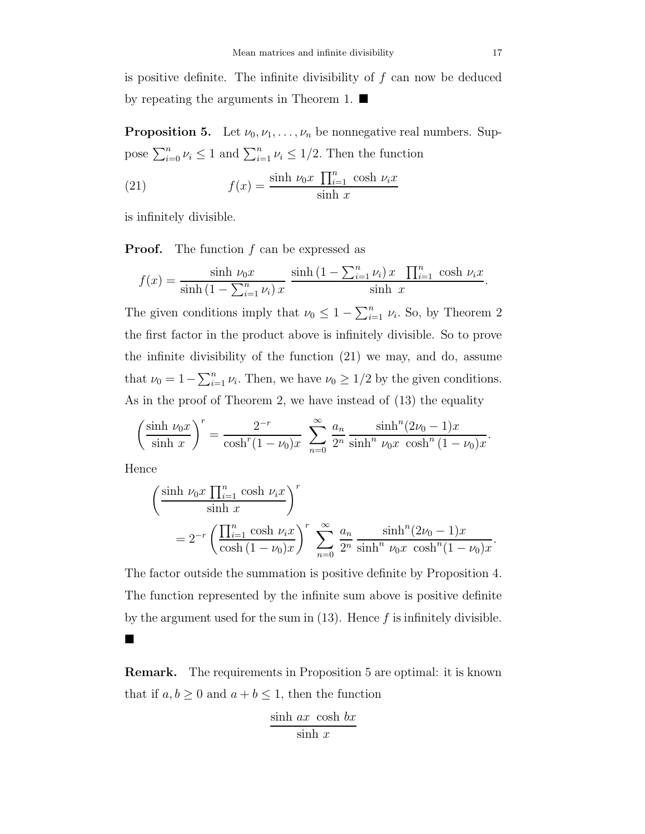is positive definite. The infinite divisibility of  $f$  can now be deduced by repeating the arguments in Theorem 1.

**Proposition 5.** Let  $\nu_0, \nu_1, \ldots, \nu_n$  be nonnegative real numbers. Suppose  $\sum_{i=0}^{n} \nu_i \leq 1$  and  $\sum_{i=1}^{n} \nu_i \leq 1/2$ . Then the function

(21) 
$$
f(x) = \frac{\sinh \nu_0 x \prod_{i=1}^n \cosh \nu_i x}{\sinh x}
$$

is infinitely divisible.

**Proof.** The function f can be expressed as

$$
f(x) = \frac{\sinh \nu_0 x}{\sinh (1 - \sum_{i=1}^n \nu_i) x} \frac{\sinh (1 - \sum_{i=1}^n \nu_i) x \prod_{i=1}^n \cosh \nu_i x}{\sinh x}.
$$

The given conditions imply that  $\nu_0 \leq 1 - \sum_{i=1}^n \nu_i$ . So, by Theorem 2 the first factor in the product above is infinitely divisible. So to prove the infinite divisibility of the function (21) we may, and do, assume that  $\nu_0 = 1 - \sum_{i=1}^n \nu_i$ . Then, we have  $\nu_0 \geq 1/2$  by the given conditions. As in the proof of Theorem 2, we have instead of (13) the equality

$$
\left(\frac{\sinh \nu_0 x}{\sinh x}\right)^r = \frac{2^{-r}}{\cosh^r (1-\nu_0)x} \sum_{n=0}^{\infty} \frac{a_n}{2^n} \frac{\sinh^n (2\nu_0-1)x}{\sinh^n \nu_0 x \cosh^n (1-\nu_0)x}.
$$

Hence

■

$$
\left(\frac{\sinh \nu_0 x \prod_{i=1}^n \cosh \nu_i x}{\sinh x}\right)^r
$$
  
=  $2^{-r} \left(\frac{\prod_{i=1}^n \cosh \nu_i x}{\cosh (1 - \nu_0)x}\right)^r \sum_{n=0}^{\infty} \frac{a_n}{2^n} \frac{\sinh^n (2\nu_0 - 1)x}{\sinh^n \nu_0 x \cosh^n (1 - \nu_0)x}.$ 

The factor outside the summation is positive definite by Proposition 4. The function represented by the infinite sum above is positive definite by the argument used for the sum in  $(13)$ . Hence f is infinitely divisible.

Remark. The requirements in Proposition 5 are optimal: it is known that if  $a, b \ge 0$  and  $a + b \le 1$ , then the function

$$
\frac{\sinh ax \cosh bx}{\sinh x}
$$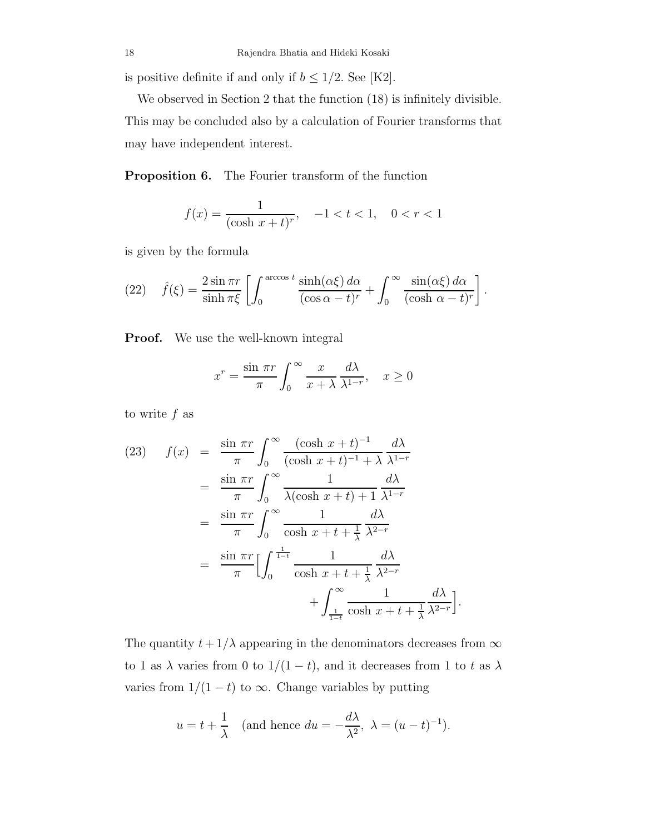is positive definite if and only if  $b \leq 1/2.$  See [K2].

We observed in Section 2 that the function (18) is infinitely divisible. This may be concluded also by a calculation of Fourier transforms that may have independent interest.

Proposition 6. The Fourier transform of the function

$$
f(x) = \frac{1}{(\cosh x + t)^r}, \quad -1 < t < 1, \quad 0 < r < 1
$$

is given by the formula

(22) 
$$
\hat{f}(\xi) = \frac{2 \sin \pi r}{\sinh \pi \xi} \left[ \int_0^{\arccos t} \frac{\sinh(\alpha \xi) d\alpha}{(\cos \alpha - t)^r} + \int_0^\infty \frac{\sin(\alpha \xi) d\alpha}{(\cosh \alpha - t)^r} \right].
$$

Proof. We use the well-known integral

$$
x^{r} = \frac{\sin \pi r}{\pi} \int_{0}^{\infty} \frac{x}{x + \lambda} \frac{d\lambda}{\lambda^{1-r}}, \quad x \ge 0
$$

to write  $f$  as

$$
(23) \quad f(x) = \frac{\sin \pi r}{\pi} \int_0^\infty \frac{(\cosh x + t)^{-1}}{(\cosh x + t)^{-1} + \lambda} \frac{d\lambda}{\lambda^{1-r}}
$$

$$
= \frac{\sin \pi r}{\pi} \int_0^\infty \frac{1}{\lambda(\cosh x + t) + 1} \frac{d\lambda}{\lambda^{1-r}}
$$

$$
= \frac{\sin \pi r}{\pi} \int_0^\infty \frac{1}{\cosh x + t + \frac{1}{\lambda}} \frac{d\lambda}{\lambda^{2-r}}
$$

$$
= \frac{\sin \pi r}{\pi} \Big[ \int_0^{\frac{1}{1-t}} \frac{1}{\cosh x + t + \frac{1}{\lambda}} \frac{d\lambda}{\lambda^{2-r}}
$$

$$
+ \int_{\frac{1}{1-t}}^\infty \frac{1}{\cosh x + t + \frac{1}{\lambda}} \frac{d\lambda}{\lambda^{2-r}}
$$

The quantity  $t+1/\lambda$  appearing in the denominators decreases from  $\infty$ to 1 as  $\lambda$  varies from 0 to  $1/(1-t)$ , and it decreases from 1 to t as  $\lambda$ varies from  $1/(1-t)$  to  $\infty$ . Change variables by putting

i .

$$
u = t + \frac{1}{\lambda}
$$
 (and hence  $du = -\frac{d\lambda}{\lambda^2}$ ,  $\lambda = (u - t)^{-1}$ ).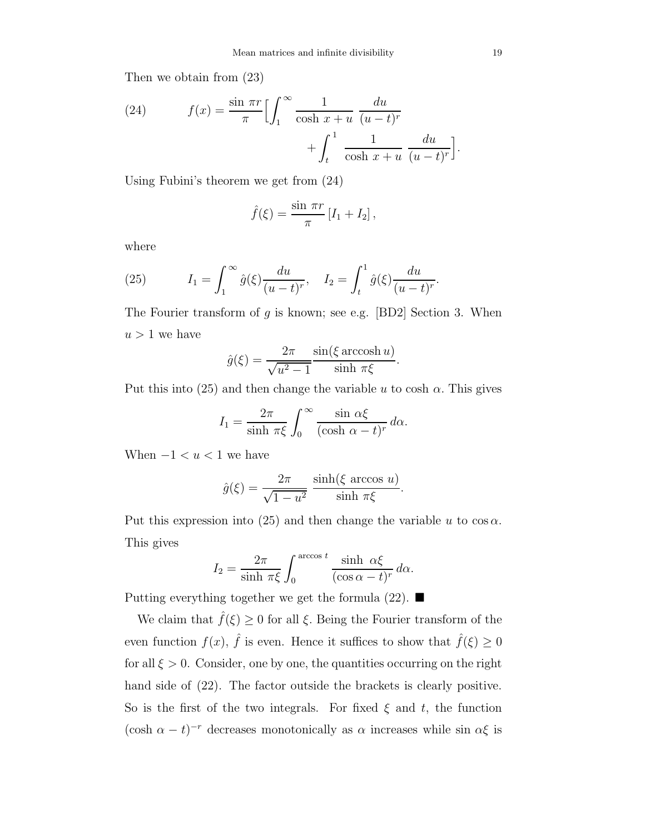Then we obtain from (23)

(24) 
$$
f(x) = \frac{\sin \pi r}{\pi} \Biggl[ \int_1^{\infty} \frac{1}{\cosh x + u} \frac{du}{(u - t)^r} + \int_t^1 \frac{1}{\cosh x + u} \frac{du}{(u - t)^r} \Biggr].
$$

Using Fubini's theorem we get from (24)

$$
\hat{f}(\xi) = \frac{\sin \pi r}{\pi} \left[ I_1 + I_2 \right],
$$

where

(25) 
$$
I_1 = \int_1^\infty \hat{g}(\xi) \frac{du}{(u-t)^r}, \quad I_2 = \int_t^1 \hat{g}(\xi) \frac{du}{(u-t)^r}.
$$

The Fourier transform of  $g$  is known; see e.g. [BD2] Section 3. When  $u > 1$  we have

$$
\hat{g}(\xi) = \frac{2\pi}{\sqrt{u^2 - 1}} \frac{\sin(\xi \arccosh u)}{\sinh \pi \xi}
$$

.

Put this into (25) and then change the variable u to cosh  $\alpha$ . This gives

$$
I_1 = \frac{2\pi}{\sinh \pi \xi} \int_0^\infty \frac{\sin \alpha \xi}{(\cosh \alpha - t)^r} d\alpha.
$$

When  $-1 < u < 1$  we have

$$
\hat{g}(\xi) = \frac{2\pi}{\sqrt{1 - u^2}} \frac{\sinh(\xi \arccos u)}{\sinh \pi \xi}.
$$

Put this expression into (25) and then change the variable u to  $\cos \alpha$ . This gives

$$
I_2 = \frac{2\pi}{\sinh \pi \xi} \int_0^{\arccos t} \frac{\sinh \alpha \xi}{(\cos \alpha - t)^r} d\alpha.
$$

Putting everything together we get the formula  $(22)$ .

We claim that  $\hat{f}(\xi) \geq 0$  for all  $\xi$ . Being the Fourier transform of the even function  $f(x)$ ,  $\hat{f}$  is even. Hence it suffices to show that  $\hat{f}(\xi) \ge 0$ for all  $\xi > 0$ . Consider, one by one, the quantities occurring on the right hand side of (22). The factor outside the brackets is clearly positive. So is the first of the two integrals. For fixed  $\xi$  and  $t$ , the function (cosh  $\alpha - t$ )<sup>-r</sup> decreases monotonically as  $\alpha$  increases while sin  $\alpha \xi$  is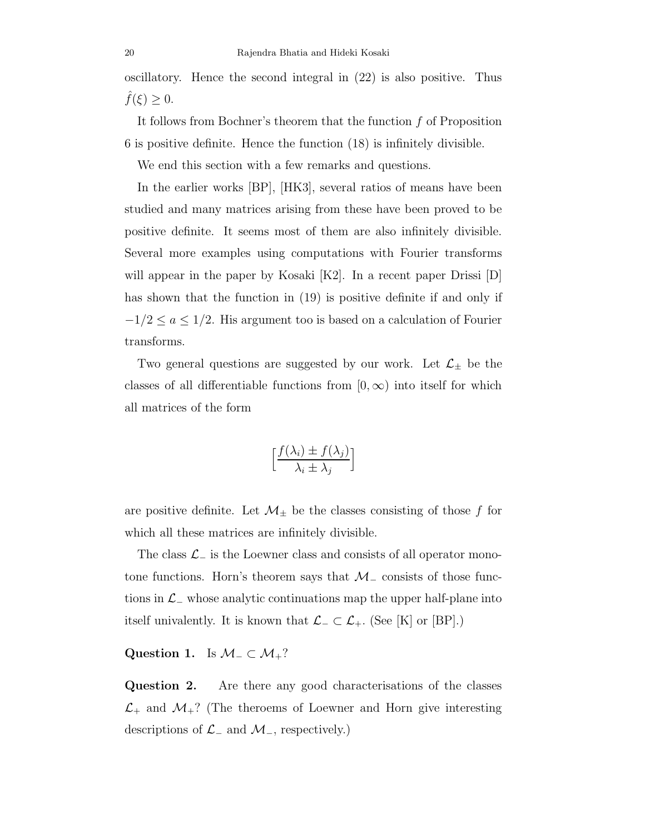oscillatory. Hence the second integral in (22) is also positive. Thus  $\widehat{f}(\xi) \geq 0.$ 

It follows from Bochner's theorem that the function  $f$  of Proposition 6 is positive definite. Hence the function (18) is infinitely divisible.

We end this section with a few remarks and questions.

In the earlier works [BP], [HK3], several ratios of means have been studied and many matrices arising from these have been proved to be positive definite. It seems most of them are also infinitely divisible. Several more examples using computations with Fourier transforms will appear in the paper by Kosaki [K2]. In a recent paper Drissi [D] has shown that the function in (19) is positive definite if and only if  $-1/2 \le a \le 1/2$ . His argument too is based on a calculation of Fourier transforms.

Two general questions are suggested by our work. Let  $\mathcal{L}_{\pm}$  be the classes of all differentiable functions from  $[0, \infty)$  into itself for which all matrices of the form

$$
\left[\frac{f(\lambda_i) \pm f(\lambda_j)}{\lambda_i \pm \lambda_j}\right]
$$

are positive definite. Let  $\mathcal{M}_{\pm}$  be the classes consisting of those f for which all these matrices are infinitely divisible.

The class  $\mathcal{L}_-$  is the Loewner class and consists of all operator monotone functions. Horn's theorem says that  $\mathcal{M}_-$  consists of those functions in  $\mathcal{L}_-$  whose analytic continuations map the upper half-plane into itself univalently. It is known that  $\mathcal{L}_-\subset \mathcal{L}_+$ . (See [K] or [BP].)

# Question 1. Is  $M_-\subset M_+$ ?

Question 2. Are there any good characterisations of the classes  $\mathcal{L}_+$  and  $\mathcal{M}_+$ ? (The theroems of Loewner and Horn give interesting descriptions of  $\mathcal{L}_-$  and  $\mathcal{M}_-$ , respectively.)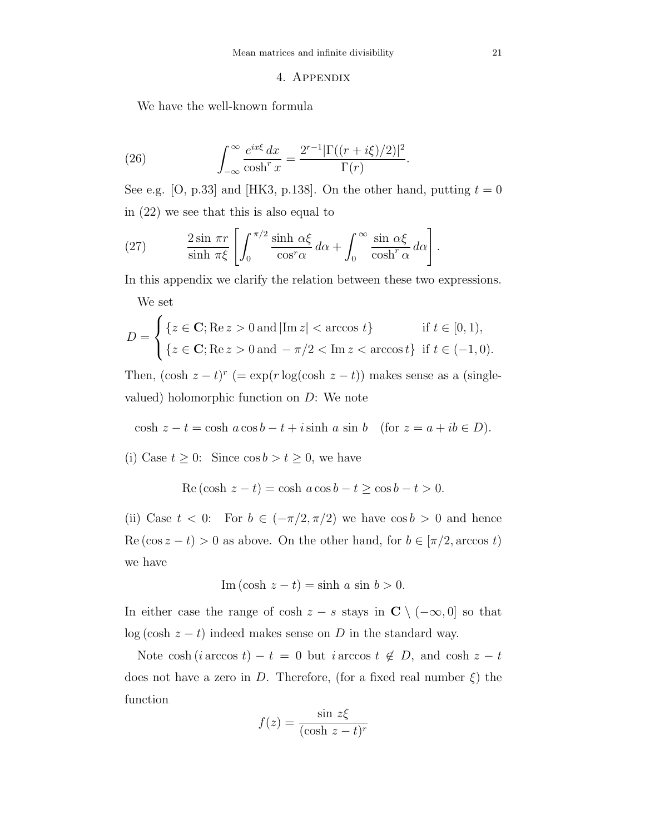#### 4. Appendix

We have the well-known formula

(26) 
$$
\int_{-\infty}^{\infty} \frac{e^{ix\xi} dx}{\cosh^r x} = \frac{2^{r-1} |\Gamma((r+i\xi)/2)|^2}{\Gamma(r)}.
$$

See e.g. [O, p.33] and [HK3, p.138]. On the other hand, putting  $t = 0$ in (22) we see that this is also equal to

(27) 
$$
\frac{2 \sin \pi r}{\sinh \pi \xi} \left[ \int_0^{\pi/2} \frac{\sinh \alpha \xi}{\cos^r \alpha} d\alpha + \int_0^\infty \frac{\sin \alpha \xi}{\cosh^r \alpha} d\alpha \right].
$$

In this appendix we clarify the relation between these two expressions.

We set

$$
D = \begin{cases} \{z \in \mathbf{C}; \text{Re } z > 0 \text{ and } |\text{Im } z| < \text{arccos } t\} & \text{if } t \in [0, 1), \\ \{z \in \mathbf{C}; \text{Re } z > 0 \text{ and } -\pi/2 < \text{Im } z < \text{arccos } t\} & \text{if } t \in (-1, 0). \end{cases}
$$

Then,  $(\cosh z - t)^r$  (= exp(r log(cosh  $z - t$ )) makes sense as a (singlevalued) holomorphic function on  $D$ : We note

$$
\cosh z - t = \cosh a \cos b - t + i \sinh a \sin b \quad \text{(for } z = a + ib \in D\text{)}.
$$

(i) Case  $t \geq 0$ : Since  $\cos b > t \geq 0$ , we have

$$
Re(\cosh z - t) = \cosh a \cos b - t \ge \cos b - t > 0.
$$

(ii) Case  $t < 0$ : For  $b \in (-\pi/2, \pi/2)$  we have  $\cos b > 0$  and hence Re (cos  $z - t$ ) > 0 as above. On the other hand, for  $b \in [\pi/2, \arccos t)$ we have

$$
\text{Im}(\cosh z - t) = \sinh a \sin b > 0.
$$

In either case the range of cosh  $z - s$  stays in  $C \setminus (-\infty, 0]$  so that log (cosh  $z - t$ ) indeed makes sense on D in the standard way.

Note cosh (*i* arccos  $t$ ) −  $t = 0$  but *i* arccos  $t \notin D$ , and cosh  $z - t$ does not have a zero in D. Therefore, (for a fixed real number  $\xi$ ) the function

$$
f(z) = \frac{\sin z\xi}{(\cosh z - t)^r}
$$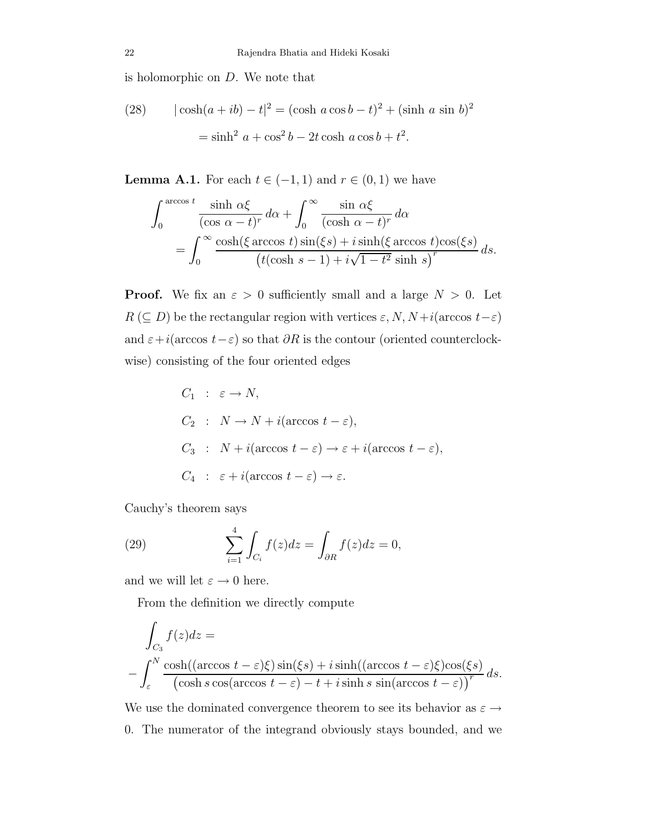is holomorphic on D. We note that

(28) 
$$
|\cosh(a+ib) - t|^2 = (\cosh a \cos b - t)^2 + (\sinh a \sin b)^2
$$

$$
= \sinh^2 a + \cos^2 b - 2t \cosh a \cos b + t^2.
$$

**Lemma A.1.** For each  $t \in (-1, 1)$  and  $r \in (0, 1)$  we have

$$
\int_0^{\arccos t} \frac{\sinh \alpha \xi}{(\cos \alpha - t)^r} d\alpha + \int_0^\infty \frac{\sin \alpha \xi}{(\cosh \alpha - t)^r} d\alpha
$$

$$
= \int_0^\infty \frac{\cosh(\xi \arccos t) \sin(\xi s) + i \sinh(\xi \arccos t) \cos(\xi s)}{(t(\cosh s - 1) + i\sqrt{1 - t^2} \sinh s)} ds.
$$

**Proof.** We fix an  $\varepsilon > 0$  sufficiently small and a large  $N > 0$ . Let  $R\ (\subseteq D)$  be the rectangular region with vertices  $\varepsilon, N, N + i(\arccos\ t-\varepsilon)$ and  $\varepsilon+i(\arccos\,t-\varepsilon)$  so that  $\partial R$  is the contour (oriented counterclockwise) consisting of the four oriented edges

$$
C_1 : \varepsilon \to N,
$$
  
\n
$$
C_2 : N \to N + i(\arccos t - \varepsilon),
$$
  
\n
$$
C_3 : N + i(\arccos t - \varepsilon) \to \varepsilon + i(\arccos t - \varepsilon),
$$
  
\n
$$
C_4 : \varepsilon + i(\arccos t - \varepsilon) \to \varepsilon.
$$

Cauchy's theorem says

(29) 
$$
\sum_{i=1}^{4} \int_{C_i} f(z) dz = \int_{\partial R} f(z) dz = 0,
$$

and we will let  $\varepsilon\to 0$  here.

From the definition we directly compute

$$
\int_{C_3} f(z)dz =
$$
\n
$$
-\int_{\varepsilon}^{N} \frac{\cosh((\arccos t - \varepsilon)\xi)\sin(\xi s) + i\sinh((\arccos t - \varepsilon)\xi)\cos(\xi s)}{(\cosh s \cos(\arccos t - \varepsilon) - t + i\sinh s \sin(\arccos t - \varepsilon))^{r}} ds.
$$

We use the dominated convergence theorem to see its behavior as  $\varepsilon \rightarrow$ 0. The numerator of the integrand obviously stays bounded, and we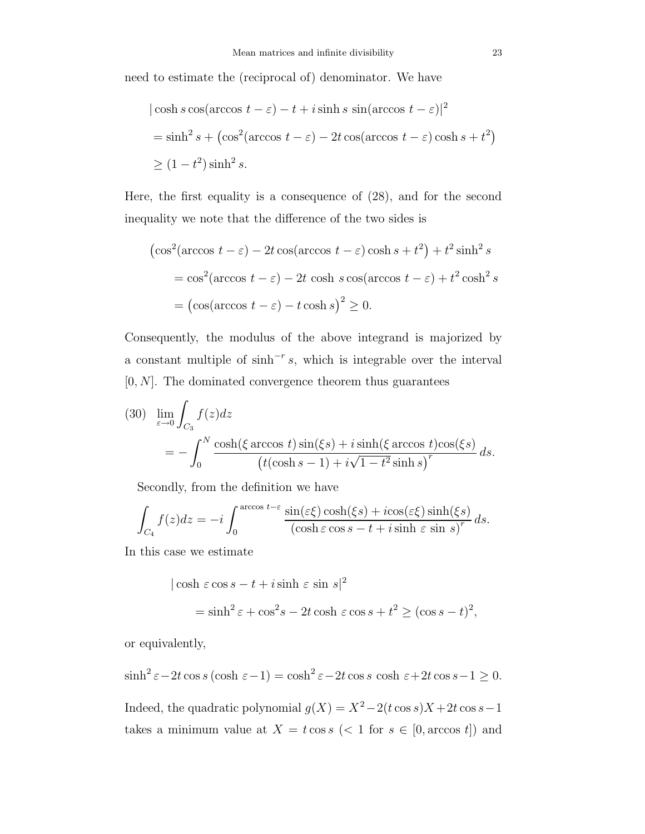need to estimate the (reciprocal of) denominator. We have

$$
|\cosh s \cos(\arccos t - \varepsilon) - t + i \sinh s \sin(\arccos t - \varepsilon)|^2
$$
  
= sinh<sup>2</sup> s + (cos<sup>2</sup>(arccos t - \varepsilon) - 2t cos(arccos t - \varepsilon) cosh s + t<sup>2</sup>)  
\ge (1 - t<sup>2</sup>) sinh<sup>2</sup> s.

Here, the first equality is a consequence of (28), and for the second inequality we note that the difference of the two sides is

$$
(\cos^2(\arccos t - \varepsilon) - 2t \cos(\arccos t - \varepsilon) \cosh s + t^2) + t^2 \sinh^2 s
$$
  
=  $\cos^2(\arccos t - \varepsilon) - 2t \cosh s \cos(\arccos t - \varepsilon) + t^2 \cosh^2 s$   
=  $(\cos(\arccos t - \varepsilon) - t \cosh s)^2 \ge 0.$ 

Consequently, the modulus of the above integrand is majorized by a constant multiple of  $\sinh^{-r}s$ , which is integrable over the interval  $[0, N]$ . The dominated convergence theorem thus guarantees

(30) 
$$
\lim_{\varepsilon \to 0} \int_{C_3} f(z) dz
$$
  
= 
$$
- \int_0^N \frac{\cosh(\xi \arccos t) \sin(\xi s) + i \sinh(\xi \arccos t) \cos(\xi s)}{(t(\cosh s - 1) + i\sqrt{1 - t^2} \sinh s)^r} ds.
$$

Secondly, from the definition we have

$$
\int_{C_4} f(z)dz = -i \int_0^{\arccos t - \varepsilon} \frac{\sin(\varepsilon \xi) \cosh(\xi s) + i \cos(\varepsilon \xi) \sinh(\xi s)}{(\cosh \varepsilon \cos s - t + i \sinh \varepsilon \sin s)^r} ds.
$$

In this case we estimate

$$
|\cosh \varepsilon \cos s - t + i \sinh \varepsilon \sin s|^2
$$
  
=  $\sinh^2 \varepsilon + \cos^2 s - 2t \cosh \varepsilon \cos s + t^2 \ge (\cos s - t)^2$ ,

or equivalently,

$$
\sinh^2 \varepsilon - 2t \cos s \left(\cosh \varepsilon - 1\right) = \cosh^2 \varepsilon - 2t \cos s \cosh \varepsilon + 2t \cos s - 1 \ge 0.
$$

Indeed, the quadratic polynomial  $g(X) = X^2 - 2(t \cos s)X + 2t \cos s - 1$ takes a minimum value at  $X = t \cos s$  (< 1 for  $s \in [0, \arccos t]$ ) and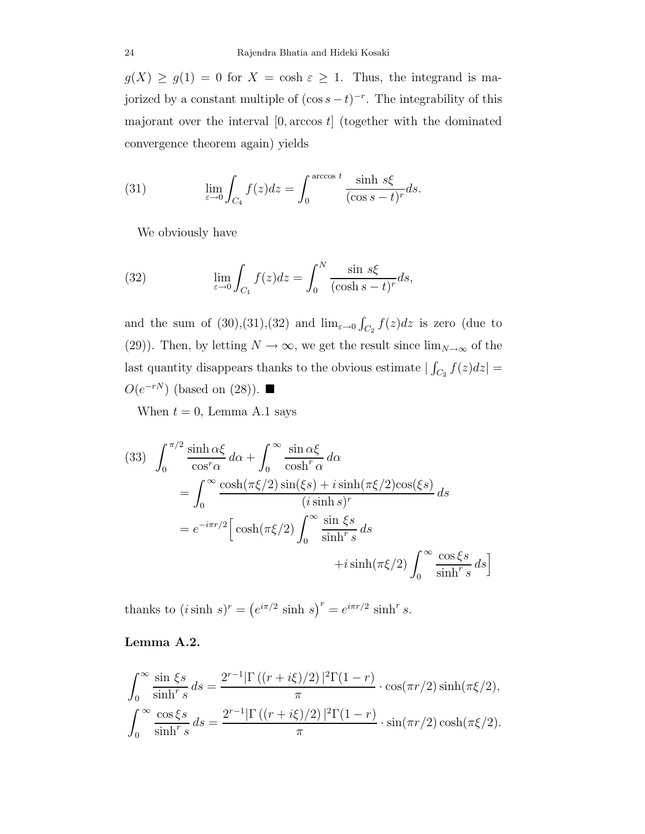$g(X) \ge g(1) = 0$  for  $X = \cosh \varepsilon \ge 1$ . Thus, the integrand is majorized by a constant multiple of  $(\cos s - t)^{-r}$ . The integrability of this majorant over the interval  $[0, \arccos t]$  (together with the dominated convergence theorem again) yields

(31) 
$$
\lim_{\varepsilon \to 0} \int_{C_4} f(z) dz = \int_0^{\arccos t} \frac{\sinh s\xi}{(\cos s - t)^r} ds.
$$

We obviously have

(32) 
$$
\lim_{\varepsilon \to 0} \int_{C_1} f(z) dz = \int_0^N \frac{\sin s \xi}{(\cosh s - t)^r} ds,
$$

and the sum of  $(30),(31),(32)$  and  $\lim_{\varepsilon\to 0} \int_{C_2} f(z)dz$  is zero (due to (29)). Then, by letting  $N \to \infty$ , we get the result since  $\lim_{N \to \infty}$  of the last quantity disappears thanks to the obvious estimate  $\left| \int_{C_2} f(z) dz \right| =$  $O(e^{-rN})$  (based on (28)). ■

When  $t = 0$ , Lemma A.1 says

(33) 
$$
\int_0^{\pi/2} \frac{\sinh \alpha \xi}{\cos^n \alpha} d\alpha + \int_0^{\infty} \frac{\sin \alpha \xi}{\cosh^n \alpha} d\alpha
$$
  
= 
$$
\int_0^{\infty} \frac{\cosh(\pi \xi/2) \sin(\xi s) + i \sinh(\pi \xi/2) \cos(\xi s)}{(i \sinh s)^r} ds
$$
  
= 
$$
e^{-i\pi r/2} \Big[ \cosh(\pi \xi/2) \int_0^{\infty} \frac{\sin \xi s}{\sinh s} ds + i \sinh(\pi \xi/2) \int_0^{\infty} \frac{\cos \xi s}{\sinh s} ds \Big]
$$

thanks to  $(i \sinh s)^r = (e^{i\pi/2} \sinh s)^r = e^{i\pi r/2} \sinh^r s$ .

## Lemma A.2.

$$
\int_0^\infty \frac{\sin \xi s}{\sinh^r s} ds = \frac{2^{r-1} |\Gamma((r+i\xi)/2)|^2 \Gamma(1-r)}{\pi} \cdot \cos(\pi r/2) \sinh(\pi \xi/2),
$$
  

$$
\int_0^\infty \frac{\cos \xi s}{\sinh^r s} ds = \frac{2^{r-1} |\Gamma((r+i\xi)/2)|^2 \Gamma(1-r)}{\pi} \cdot \sin(\pi r/2) \cosh(\pi \xi/2).
$$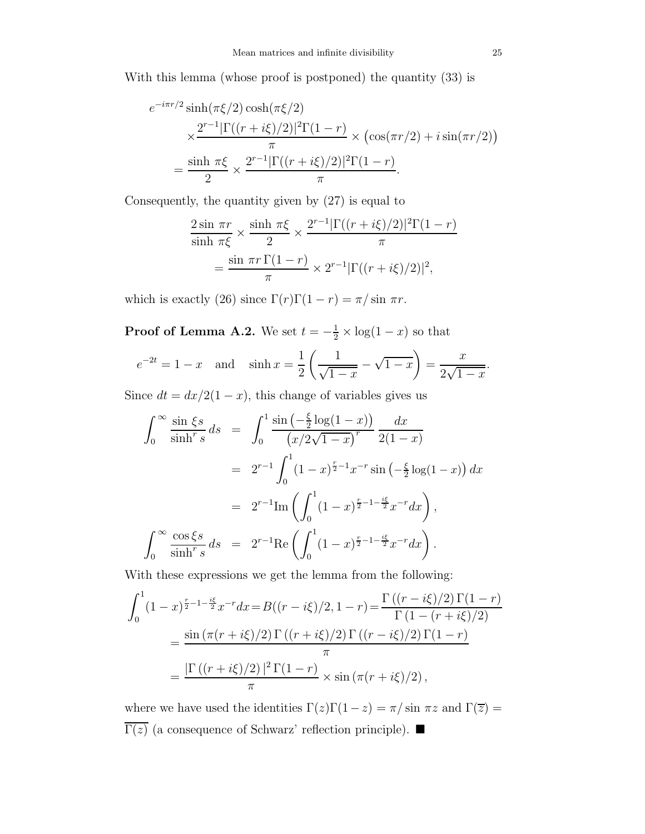With this lemma (whose proof is postponed) the quantity (33) is

$$
e^{-i\pi r/2} \sinh(\pi \xi/2) \cosh(\pi \xi/2)
$$
  
 
$$
\times \frac{2^{r-1} |\Gamma((r+i\xi)/2)|^2 \Gamma(1-r)}{\pi} \times (\cos(\pi r/2) + i \sin(\pi r/2))
$$
  
= 
$$
\frac{\sinh \pi \xi}{2} \times \frac{2^{r-1} |\Gamma((r+i\xi)/2)|^2 \Gamma(1-r)}{\pi}.
$$

Consequently, the quantity given by (27) is equal to

$$
\frac{2\sin\pi r}{\sinh\pi\xi} \times \frac{\sinh\pi\xi}{2} \times \frac{2^{r-1}|\Gamma((r+i\xi)/2)|^2\Gamma(1-r)}{\pi}
$$

$$
= \frac{\sin\pi r \Gamma(1-r)}{\pi} \times 2^{r-1}|\Gamma((r+i\xi)/2)|^2,
$$

which is exactly (26) since  $\Gamma(r)\Gamma(1 - r) = \pi/\sin \pi r$ .

**Proof of Lemma A.2.** We set  $t = -\frac{1}{2} \times \log(1 - x)$  so that

$$
e^{-2t} = 1 - x
$$
 and  $\sinh x = \frac{1}{2} \left( \frac{1}{\sqrt{1 - x}} - \sqrt{1 - x} \right) = \frac{x}{2\sqrt{1 - x}}$ .

Since  $dt = dx/2(1-x)$ , this change of variables gives us

$$
\int_0^\infty \frac{\sin \xi s}{\sinh^r s} ds = \int_0^1 \frac{\sin \left(-\frac{\xi}{2} \log(1-x)\right)}{\left(x/2\sqrt{1-x}\right)^r} \frac{dx}{2(1-x)}
$$
  
\n
$$
= 2^{r-1} \int_0^1 (1-x)^{\frac{r}{2}-1} x^{-r} \sin \left(-\frac{\xi}{2} \log(1-x)\right) dx
$$
  
\n
$$
= 2^{r-1} \text{Im} \left(\int_0^1 (1-x)^{\frac{r}{2}-1-\frac{i\xi}{2}} x^{-r} dx\right),
$$
  
\n
$$
\int_0^\infty \frac{\cos \xi s}{\sinh^r s} ds = 2^{r-1} \text{Re} \left(\int_0^1 (1-x)^{\frac{r}{2}-1-\frac{i\xi}{2}} x^{-r} dx\right).
$$

With these expressions we get the lemma from the following:

$$
\int_0^1 (1-x)^{\frac{r}{2}-1-\frac{i\xi}{2}} x^{-r} dx = B((r-i\xi)/2, 1-r) = \frac{\Gamma((r-i\xi)/2) \Gamma(1-r)}{\Gamma(1-(r+i\xi)/2)}
$$
  
= 
$$
\frac{\sin(\pi(r+i\xi)/2) \Gamma((r+i\xi)/2) \Gamma((r-i\xi)/2) \Gamma(1-r)}{\pi}
$$
  
= 
$$
\frac{|\Gamma((r+i\xi)/2)|^2 \Gamma(1-r)}{\pi} \times \sin(\pi(r+i\xi)/2),
$$

where we have used the identities  $\Gamma(z)\Gamma(1-z)=\pi/\sin\,\pi z$  and  $\Gamma(\overline z)=$  $\overline{\Gamma(z)}$  (a consequence of Schwarz' reflection principle). ■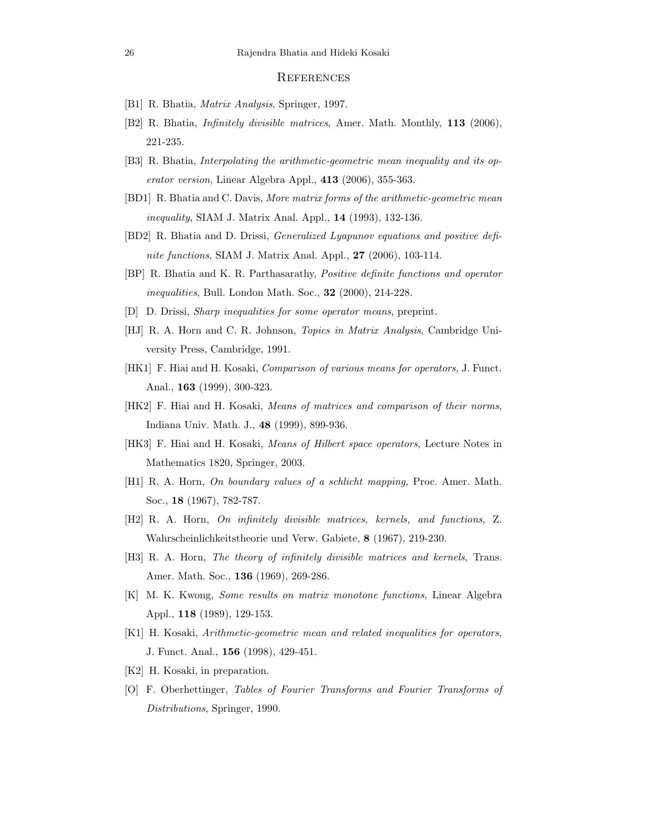#### **REFERENCES**

- [B1] R. Bhatia, Matrix Analysis, Springer, 1997.
- [B2] R. Bhatia, Infinitely divisible matrices, Amer. Math. Monthly, 113 (2006), 221-235.
- [B3] R. Bhatia, Interpolating the arithmetic-geometric mean inequality and its operator version, Linear Algebra Appl., 413 (2006), 355-363.
- [BD1] R. Bhatia and C. Davis, More matrix forms of the arithmetic-geometric mean inequality, SIAM J. Matrix Anal. Appl., 14 (1993), 132-136.
- [BD2] R. Bhatia and D. Drissi, Generalized Lyapunov equations and positive definite functions, SIAM J. Matrix Anal. Appl., **27** (2006), 103-114.
- [BP] R. Bhatia and K. R. Parthasarathy, Positive definite functions and operator inequalities, Bull. London Math. Soc., 32 (2000), 214-228.
- [D] D. Drissi, Sharp inequalities for some operator means, preprint.
- [HJ] R. A. Horn and C. R. Johnson, Topics in Matrix Analysis, Cambridge University Press, Cambridge, 1991.
- [HK1] F. Hiai and H. Kosaki, Comparison of various means for operators, J. Funct. Anal., 163 (1999), 300-323.
- [HK2] F. Hiai and H. Kosaki, Means of matrices and comparison of their norms, Indiana Univ. Math. J., 48 (1999), 899-936.
- [HK3] F. Hiai and H. Kosaki, Means of Hilbert space operators, Lecture Notes in Mathematics 1820, Springer, 2003.
- [H1] R. A. Horn, On boundary values of a schlicht mapping, Proc. Amer. Math. Soc., 18 (1967), 782-787.
- [H2] R. A. Horn, On infinitely divisible matrices, kernels, and functions, Z. Wahrscheinlichkeitstheorie und Verw. Gabiete, 8 (1967), 219-230.
- [H3] R. A. Horn, The theory of infinitely divisible matrices and kernels, Trans. Amer. Math. Soc., 136 (1969), 269-286.
- [K] M. K. Kwong, Some results on matrix monotone functions, Linear Algebra Appl., 118 (1989), 129-153.
- [K1] H. Kosaki, Arithmetic-geometric mean and related inequalities for operators, J. Funct. Anal., 156 (1998), 429-451.
- [K2] H. Kosaki, in preparation.
- [O] F. Oberhettinger, Tables of Fourier Transforms and Fourier Transforms of Distributions, Springer, 1990.